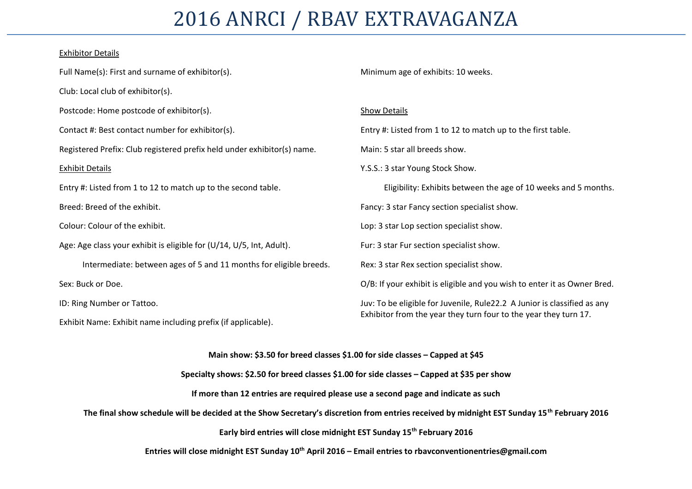## 2016 ANRCI / RBAV EXTRAVAGANZA

#### Exhibitor Details

| Full Name(s): First and surname of exhibitor(s).                        | Minimum age of exhibits: 10 weeks.                                                                                                                                                                                                        |  |  |  |  |  |  |  |  |
|-------------------------------------------------------------------------|-------------------------------------------------------------------------------------------------------------------------------------------------------------------------------------------------------------------------------------------|--|--|--|--|--|--|--|--|
| Club: Local club of exhibitor(s).                                       |                                                                                                                                                                                                                                           |  |  |  |  |  |  |  |  |
| Postcode: Home postcode of exhibitor(s).                                | <b>Show Details</b>                                                                                                                                                                                                                       |  |  |  |  |  |  |  |  |
| Contact #: Best contact number for exhibitor(s).                        | Entry #: Listed from 1 to 12 to match up to the first table.                                                                                                                                                                              |  |  |  |  |  |  |  |  |
| Registered Prefix: Club registered prefix held under exhibitor(s) name. | Eligibility: Exhibits between the age of 10 weeks and 5 months.                                                                                                                                                                           |  |  |  |  |  |  |  |  |
| <b>Exhibit Details</b>                                                  | Y.S.S.: 3 star Young Stock Show.                                                                                                                                                                                                          |  |  |  |  |  |  |  |  |
| Entry #: Listed from 1 to 12 to match up to the second table.           |                                                                                                                                                                                                                                           |  |  |  |  |  |  |  |  |
| Breed: Breed of the exhibit.                                            |                                                                                                                                                                                                                                           |  |  |  |  |  |  |  |  |
| Colour: Colour of the exhibit.                                          | Main: 5 star all breeds show.<br>Fancy: 3 star Fancy section specialist show.<br>Lop: 3 star Lop section specialist show.<br>Fur: 3 star Fur section specialist show.<br>Exhibitor from the year they turn four to the year they turn 17. |  |  |  |  |  |  |  |  |
| Age: Age class your exhibit is eligible for (U/14, U/5, Int, Adult).    |                                                                                                                                                                                                                                           |  |  |  |  |  |  |  |  |
| Intermediate: between ages of 5 and 11 months for eligible breeds.      | Rex: 3 star Rex section specialist show.                                                                                                                                                                                                  |  |  |  |  |  |  |  |  |
| Sex: Buck or Doe.                                                       | O/B: If your exhibit is eligible and you wish to enter it as Owner Bred.                                                                                                                                                                  |  |  |  |  |  |  |  |  |
| ID: Ring Number or Tattoo.                                              | Juv: To be eligible for Juvenile, Rule22.2 A Junior is classified as any                                                                                                                                                                  |  |  |  |  |  |  |  |  |
| Exhibit Name: Exhibit name including prefix (if applicable).            |                                                                                                                                                                                                                                           |  |  |  |  |  |  |  |  |

**Main show: \$3.50 for breed classes \$1.00 for side classes – Capped at \$45**

**Specialty shows: \$2.50 for breed classes \$1.00 for side classes – Capped at \$35 per show**

**If more than 12 entries are required please use a second page and indicate as such**

**The final show schedule will be decided at the Show Secretary's discretion from entries received by midnight EST Sunday 15th February 2016**

**Early bird entries will close midnight EST Sunday 15th February 2016**

**Entries will close midnight EST Sunday 10th April 2016 – Email entries to rbavconventionentries@gmail.com**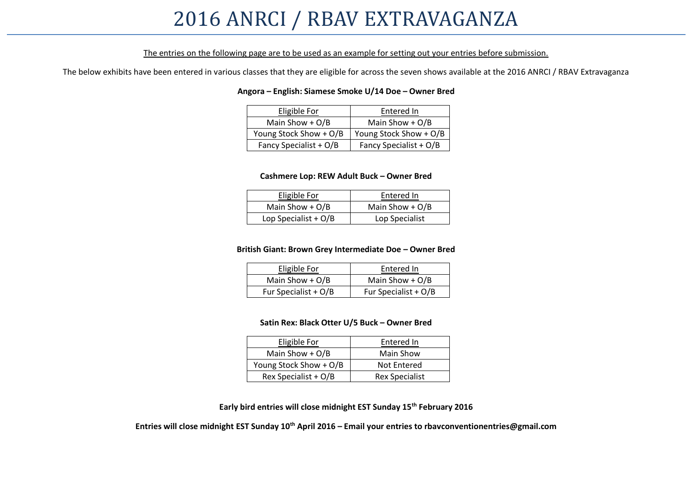### 2016 ANRCI / RBAV EXTRAVAGANZA

#### The entries on the following page are to be used as an example for setting out your entries before submission.

The below exhibits have been entered in various classes that they are eligible for across the seven shows available at the 2016 ANRCI / RBAV Extravaganza

#### **Angora – English: Siamese Smoke U/14 Doe – Owner Bred**

| Eligible For           | Entered In             |
|------------------------|------------------------|
| Main Show $+ O/B$      | Main Show $+ O/B$      |
| Young Stock Show + O/B | Young Stock Show + O/B |
| Fancy Specialist + O/B | Fancy Specialist + O/B |

#### **Cashmere Lop: REW Adult Buck – Owner Bred**

| Eligible For           | Entered In        |
|------------------------|-------------------|
| Main Show + $O/B$      | Main Show $+ O/B$ |
| Lop Specialist + $O/B$ | Lop Specialist    |

#### **British Giant: Brown Grey Intermediate Doe – Owner Bred**

| Eligible For           | Entered In             |
|------------------------|------------------------|
| Main Show $+ O/B$      | Main Show $+ O/B$      |
| Fur Specialist + $O/B$ | Fur Specialist + $O/B$ |

#### **Satin Rex: Black Otter U/5 Buck – Owner Bred**

| Eligible For           | Entered In            |
|------------------------|-----------------------|
| Main Show $+ O/B$      | Main Show             |
| Young Stock Show + O/B | Not Entered           |
| Rex Specialist + O/B   | <b>Rex Specialist</b> |

**Early bird entries will close midnight EST Sunday 15th February 2016**

**Entries will close midnight EST Sunday 10th April 2016 – Email your entries to rbavconventionentries@gmail.com**